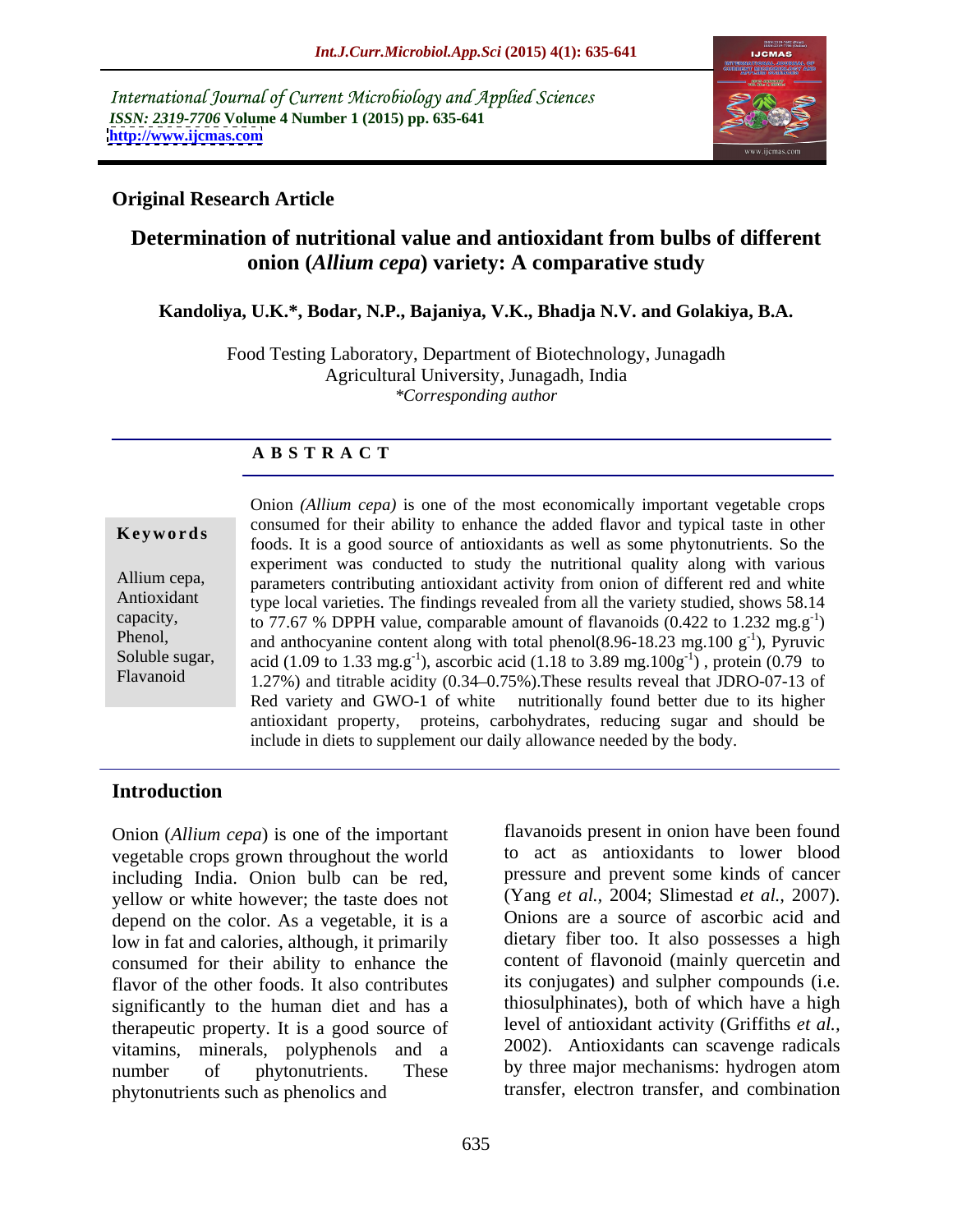International Journal of Current Microbiology and Applied Sciences *ISSN: 2319-7706* **Volume 4 Number 1 (2015) pp. 635-641 <http://www.ijcmas.com>**



### **Original Research Article**

## **Determination of nutritional value and antioxidant from bulbs of different onion (***Allium cepa***) variety: A comparative study**

### **Kandoliya, U.K.\*, Bodar, N.P., Bajaniya, V.K., Bhadja N.V. and Golakiya, B.A.**

Food Testing Laboratory, Department of Biotechnology, Junagadh Agricultural University, Junagadh, India *\*Corresponding author* 

#### **A B S T R A C T**

Flavanoid

Onion *(Allium cepa)* is one of the most economically important vegetable crops consumed for their ability to enhance the added flavor and typical taste in other **Keywords** consumed for their additional term and the added travor and typical taste in other foods. It is a good source of antioxidants as well as some phytonutrients. So the experiment was conducted to study the nutritional quality along with various Allium cepa, parameters contributing antioxidant activity from onion of different red and white Antioxidant type local varieties. The findings revealed from all the variety studied, shows 58.14 capacity, to 77.67 % DPPH value, comparable amount of flavanoids  $(0.422 \text{ to } 1.232 \text{ mg} \text{ g}^{-1})$  $-1$  $)$ Phenol, and anthocyanine content along with total phenol(8.96-18.23 mg.100  $g^{-1}$ ), Pyruvic  $-1$ ) Dynusie ), Pyruvic Soluble sugar, acid (1.09 to 1.33 mg.g<sup>-1</sup>), ascorbic acid (1.18 to 3.89 mg.100g<sup>-1</sup>), protein (0.79 to  $^{-1}$  protoin (0.70 to ) , protein (0.79 to 1.27%) and titrable acidity (0.34–0.75%). These results reveal that JDRO-07-13 of Red variety and GWO-1 of white nutritionally found better due to its higher antioxidant property, proteins, carbohydrates, reducing sugar and should be include in diets to supplement our daily allowance needed by the body.

### **Introduction**

Onion (*Allium cepa*) is one of the important vegetable crops grown throughout the world including India. Onion bulb can be red, yellow or white however; the taste does not depend on the color. As a vegetable, it is a low in fat and calories, although, it primarily consumed for their ability to enhance the flavor of the other foods. It also contributes significantly to the human diet and has a therapeutic property. It is a good source of vitamins, minerals, polyphenols and a number of phytonutrients. These by three major mechanisms: hydrogen atom phytonutrients such as phenolics and

flavanoids present in onion have been found to act as antioxidants to lower blood pressure and prevent some kinds of cancer (Yang *et al.,* 2004; Slimestad *et al.,* 2007). Onions are a source of ascorbic acid and dietary fiber too. It also possesses a high content of flavonoid (mainly quercetin and its conjugates) and sulpher compounds (i.e. thiosulphinates), both of which have a high level of antioxidant activity (Griffiths *et al.,* 2002). Antioxidants can scavenge radicals transfer, electron transfer, and combination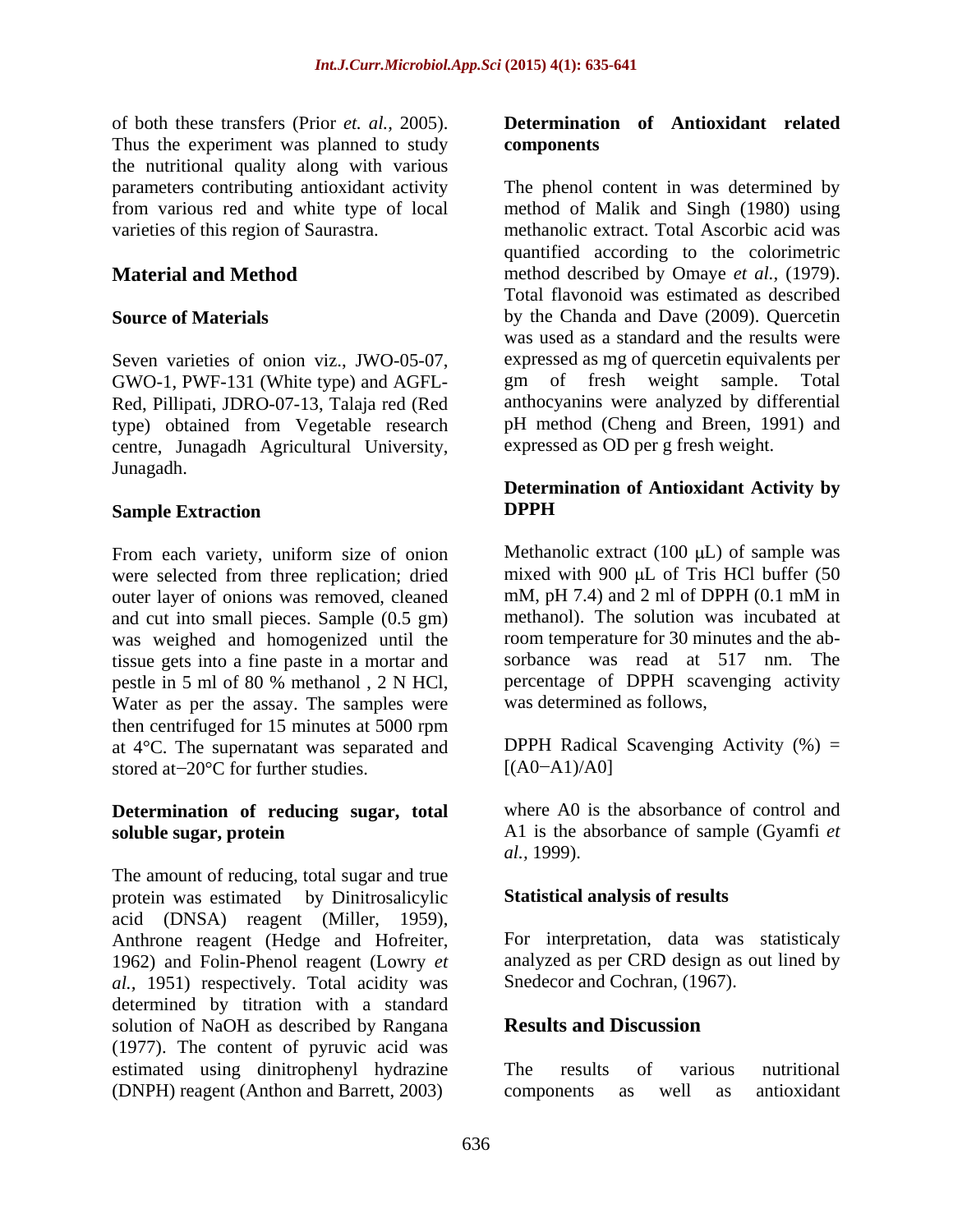of both these transfers (Prior *et. al.,* 2005). Thus the experiment was planned to study components the nutritional quality along with various

GWO-1, PWF-131 (White type) and AGFL- gm of fresh weight sample. Total Red, Pillipati, JDRO-07-13, Talaja red (Red type) obtained from Vegetable research centre, Junagadh Agricultural University, Junagadh.

#### **Sample Extraction DPPH**

From each variety, uniform size of onion were selected from three replication; dried<br>
mixed with 900 µL of Tris HCl buffer (50<br>
outer laver of onions was removed, cleaned<br>
mM, pH 7.4) and 2 ml of DPPH (0.1 mM in outer layer of onions was removed, cleaned and cut into small pieces. Sample (0.5 gm) was weighed and homogenized until the tissue gets into a fine paste in a mortar and pestle in 5 ml of 80 % methanol , 2 N HCl, Water as per the assay. The samples were then centrifuged for 15 minutes at 5000 rpm at  $4^{\circ}$ C. The supernatant was separated and DPPH Radical stored at  $-20^{\circ}$ C for further studies. [(A0-A1)/A0] stored at $-20^{\circ}$ C for further studies.  $[(A0-A1)/A0]$ 

# **Determination of reducing sugar, total**

The amount of reducing, total sugar and true protein was estimated by Dinitrosalicylic acid (DNSA) reagent (Miller, 1959), Anthrone reagent (Hedge and Hofreiter, 1962) and Folin-Phenol reagent (Lowry *et al.,* 1951) respectively. Total acidity was determined by titration with a standard solution of NaOH as described by Rangana (1977). The content of pyruvic acid was estimated using dinitrophenyl hydrazine The results of various nutritional (DNPH) reagent (Anthon and Barrett, 2003)

#### **Determination of Antioxidant related components**

parameters contributing antioxidant activity The phenol content in was determined by from various red and white type of local method of Malik and Singh (1980) using varieties of this region of Saurastra. methanolic extract. Total Ascorbic acid was **Material and Method** method described by Omaye *et al.,* (1979). **Source of Materials** by the Chanda and Dave (2009). Quercetin Seven varieties of onion viz., JWO-05-07, expressed as mg of quercetin equivalents per quantified according to the colorimetric Total flavonoid was estimated as described was used as a standard and the results were gm of fresh weight sample. Total anthocyanins were analyzed by differential pH method (Cheng and Breen, 1991) and expressed as OD per g fresh weight.

### **Determination of Antioxidant Activity by DPPH**

Methanolic extract  $(100 \mu L)$  of sample was mixed with 900  $\mu$ L of Tris HCl buffer (50 mM, pH 7.4) and 2 ml of DPPH (0.1 mM in methanol). The solution was incubated at room temperature for 30 minutes and the ab sorbance was read at 517 nm. The percentage of DPPH scavenging activity was determined as follows,

DPPH Radical Scavenging Activity  $(\%) =$  $[(A0 - A1)/A0]$ 

**soluble sugar, protein** A1 is the absorbance of sample (Gyamfi *et*  where A0 is the absorbance of control and *al.,* 1999).

### **Statistical analysis of results**

For interpretation, data was statisticaly analyzed as per CRD design as out lined by Snedecor and Cochran, (1967).

### **Results and Discussion**

The results of various nutritional components as well as antioxidant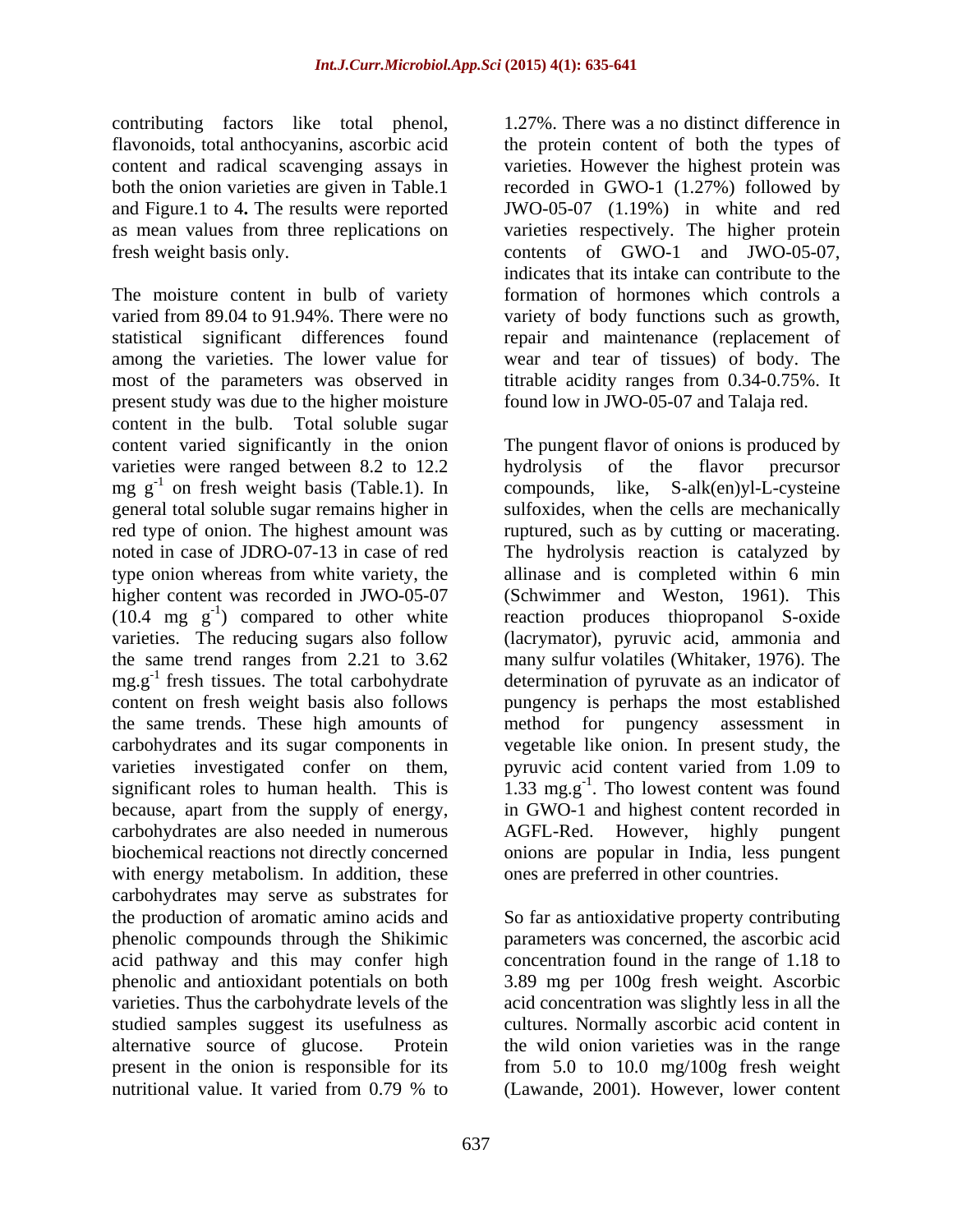contributing factors like total phenol,

The moisture content in bulb of variety varied from 89.04 to 91.94%. There were no variety of body functions such as growth, statistical significant differences found repair and maintenance (replacement of among the varieties. The lower value for most of the parameters was observed in titrable acidity ranges from 0.34-0.75%. It present study was due to the higher moisture content in the bulb. Total soluble sugar varieties were ranged between 8.2 to 12.2 hydrolysis of the flavor precursor higher content was recorded in JWO-05-07<br>(10.4 mg  $g^{-1}$ ) compared to other white the same trends. These high amounts of method for pungency assessment in because, apart from the supply of energy, carbohydrates are also needed in numerous with energy metabolism. In addition, these carbohydrates may serve as substrates for the production of aromatic amino acids and So far as antioxidative property contributing phenolic compounds through the Shikimic parameters was concerned, the ascorbic acid acid pathway and this may confer high phenolic and antioxidant potentials on both 3.89 mg per 100g fresh weight. Ascorbic varieties. Thus the carbohydrate levels of the acid concentration was slightly less in all the studied samples suggest its usefulness as cultures. Normally ascorbic acid content in alternative source of glucose. Protein the wild onion varieties was in the range present in the onion is responsible for its from 5.0 to 10.0 mg/100g fresh weight nutritional value. It varied from 0.79 % to (Lawande, 2001). However, lower content

flavonoids, total anthocyanins, ascorbic acid the protein content of both the types of content and radical scavenging assays in varieties. However the highest protein was both the onion varieties are given in Table.1 recorded in GWO-1 (1.27%) followed by and Figure.1 to 4**.** The results were reported JWO-05-07 (1.19%) in white and red as mean values from three replications on varieties respectively.The higher protein fresh weight basis only. contents of GWO-1 and JWO-05-07, 1.27%. There was a no distinct difference in indicates that its intake can contribute to the formation of hormones which controls a wear and tear of tissues) of body. The found low in JWO-05-07 and Talaja red.

content varied significantly in the onion The pungent flavor of onions is produced by mg g<sup>-1</sup> on fresh weight basis (Table.1). In compounds, like, S-alk(en)yl-L-cysteine general total soluble sugar remains higher in sulfoxides, when the cells are mechanically red type of onion. The highest amount was ruptured, such as by cutting or macerating. noted in case of JDRO-07-13 in case of red The hydrolysis reaction is catalyzed by type onion whereas from white variety, the allinase and is completed within 6 min  $(10.4 \text{ mg } \text{g}^{-1})$  compared to other white reaction produces thiopropanol S-oxide varieties. The reducing sugars also follow (lacrymator), pyruvic acid, ammonia and the same trend ranges from 2.21 to 3.62 many sulfur volatiles (Whitaker, 1976). The mg.g<sup>-1</sup> fresh tissues. The total carbohydrate determination of pyruvate as an indicator of content on fresh weight basis also follows pungency is perhaps the most established carbohydrates and its sugar components in vegetable like onion. In present study, the varieties investigated confer on them, pyruvic acid content varied from 1.09 to significant roles to human health. This is  $1.33 \text{ mg} \cdot \text{g}^{-1}$ . Tho lowest content was found biochemical reactions not directly concerned onions are popular in India, less pungent hydrolysis of the flavor precursor (Schwimmer and Weston, 1961). This method for pungency assessment in in GWO-1 and highest content recorded in AGFL-Red. However, highly pungent ones are preferred in other countries.

> concentration found in the range of 1.18 to (Lawande, 2001). However, lower content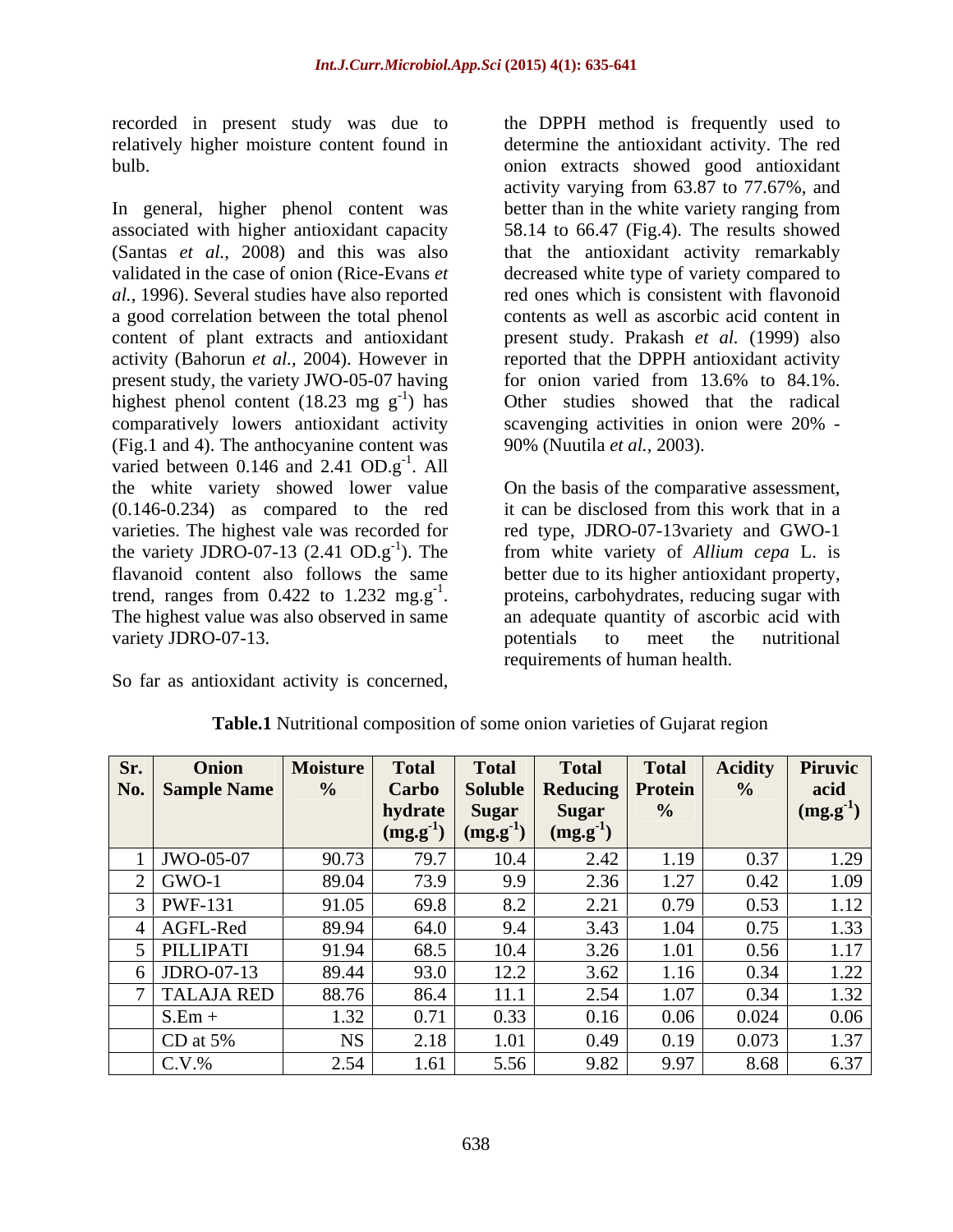recorded in present study was due to

In general, higher phenol content was better than in the white variety ranging from associated with higher antioxidant capacity 58.14 to 66.47 (Fig.4). The results showed (Santas *et al.,* 2008) and this was also that the antioxidant activity remarkably validated in the case of onion (Rice-Evans *et*  decreased white type of variety compared to *al.,* 1996). Several studies have also reported a good correlation between the total phenol content of plant extracts and antioxidant present study. Prakash *et al.* (1999) also activity (Bahorun *et al.*, 2004). However in eported that the DPPH antioxidant activity present study, the variety JWO-05-07 having for onion varied from 13.6% to 84.1%. highest phenol content (18.23 mg  $g^{-1}$ ) has<br>comparatively lowers antioxidant activity (Fig.1 and 4). The anthocyanine content was varied between  $0.146$  and  $2.41$   $OD.g^{-1}$ . All  $-1$   $\lambda$  11 . All the white variety showed lower value On the basis of the comparative assessment, (0.146-0.234) as compared to the red it can be disclosed from this work that in a varieties. The highest vale was recorded for red type, JDRO-07-13variety and GWO-1 the variety JDRO-07-13 (2.41  $OD \cdot g^{-1}$ ). The from white variety of *Allium cepa* L. is flavanoid content also follows the same better due to its higher antioxidant property, trend, ranges from  $0.422$  to  $1.232$  mg.g<sup>-1</sup>. proteins, carbohydrates, reducing sugar with trend, ranges from  $0.422$  to  $1.232$  mg.g<sup>-1</sup>. proteins, carbohydrates, reducing sugar with The highest value was also observed in same an adequate quantity of ascorbic acid with variety JDRO-07-13. The potential control of the nutritional potentials to meet the nutritional

So far as antioxidant activity is concerned,

relatively higher moisture content found in determine the antioxidant activity. The red bulb. onion extracts showed good antioxidant -1 ) has Other studies showed that the radical scavenging activities in onion were  $20\%$  the DPPH method is frequently used to activity varying from 63.87 to 77.67%, and better than in the white variety ranging from red ones which is consistent with flavonoid contents as well as ascorbic acid content in for onion varied from 13.6% to 84.1%. scavenging activities in onion were 20% - 90% (Nuutila *et al.,* 2003).

> potentials to meet the nutritional requirements of human health.

| Sr. | Onion                    | <b>Moisture</b> | Total                         | <b>Total</b>        | <b>Total</b>                                                                                                              | <b>Total</b> | <b>Acidity</b> | <b>Piruvic</b>               |
|-----|--------------------------|-----------------|-------------------------------|---------------------|---------------------------------------------------------------------------------------------------------------------------|--------------|----------------|------------------------------|
|     | No.   Sample Name        |                 |                               |                     | Carbo   Soluble   Reducing   Protein                                                                                      |              |                | acid                         |
|     |                          |                 | hydrate   Sugar               |                     | Sugar                                                                                                                     |              |                | $\mid$ (mg.g <sup>-1</sup> ) |
|     |                          |                 |                               |                     | $\left  \begin{array}{c} \text{(mg.g}^{\text{-1}}) & \text{(mg.g}^{\text{-1}}) \end{array} \right $ (mg.g <sup>-1</sup> ) |              |                |                              |
|     | $JWO-05-07$              | 90.73           | $\sim$ $\sim$                 |                     | $\angle .4\angle$                                                                                                         | 1.19         | 0.27           |                              |
|     | $GWO-1$                  | 89.04           | 1.3.9                         |                     |                                                                                                                           |              | $0.42 \pm 1$   |                              |
|     | $\boxed{\text{PWF-131}}$ | 91.05           | 69.8                          |                     | $\overline{\phantom{m}}\cdot\overline{\phantom{m}}\cdot$                                                                  |              |                |                              |
|     | AGFL-Red                 | 89.94           | 64.0                          |                     |                                                                                                                           | 1.04         |                |                              |
|     | PILLIPATI                | 91.94           | 68.5                          |                     |                                                                                                                           |              |                |                              |
|     | JDRO-07-13               | 89.44           | 93.0                          | $1 \angle . \angle$ | 2.62<br>5.02                                                                                                              | 1.16         |                | 1.22<br>1.22                 |
|     | TALAJA RED               | 88.76           | 86.4                          |                     | 2.54                                                                                                                      | 1.07         |                |                              |
|     | $S.Em +$                 | 1.32            | $\bigcap$ $\bigcap$ 1<br>0.11 |                     | 0.10                                                                                                                      | 0.06         | 0.024          | 0.06                         |
|     | CD at $5%$               |                 |                               |                     |                                                                                                                           |              | $\mathbf{A}$   |                              |
|     | $C.V.$ %                 | 2.54            | 1.61                          | 550<br>$\ddotsc$    | 0.92<br>7.04                                                                                                              | 0.07         | 8.68           | 6.37                         |

**Table.1** Nutritional composition of some onion varieties of Gujarat region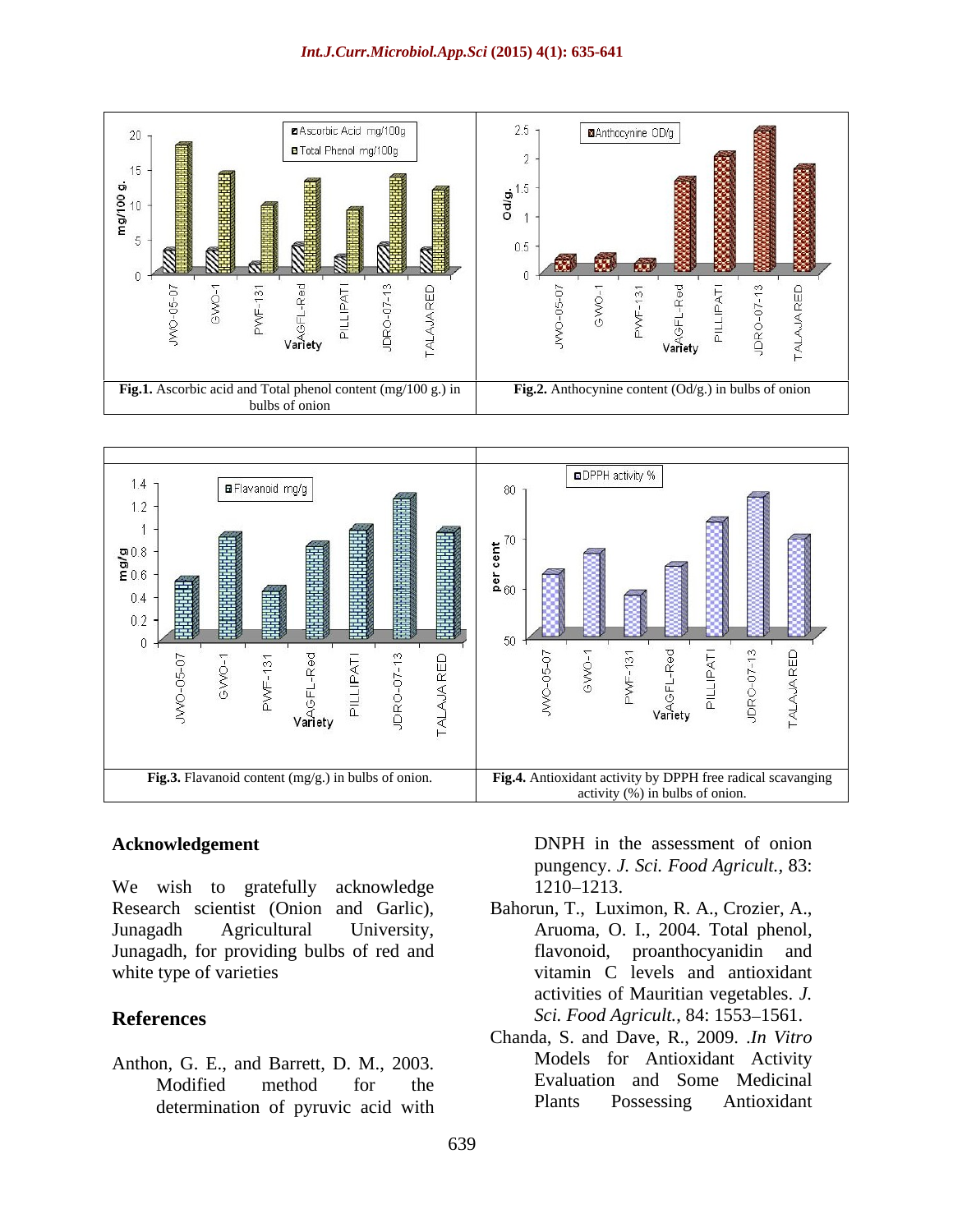



We wish to gratefully acknowledge 1210–1213. Research scientist (Onion and Garlic), Bahorun, T., Luximon, R. A., Crozier, A., Junagadh Agricultural University, Aruoma, O. I., 2004. Total phenol, Junagadh, for providing bulbs of red and white type of varieties states of varieties and antioxidant vitamin C levels and antioxidant

Anthon, G. E., and Barrett, D. M., 2003. determination of pyruvic acid with Plants Possessing Antioxidant

**Acknowledgement** DNPH in the assessment of onion pungency. *J. Sci. Food Agricult.,* 83: 1210–1213.

- **References** Sci. *Food Agricult.*, 84: 1553–1561. flavonoid, proanthocyanidin and activities of Mauritian vegetables. *J.*
	- Modified method for the Evaluation and Some Medicinal Chanda, S. and Dave, R., 2009. .*In Vitro* Models for Antioxidant Activity Evaluation and Some Medicinal Plants Possessing Antioxidant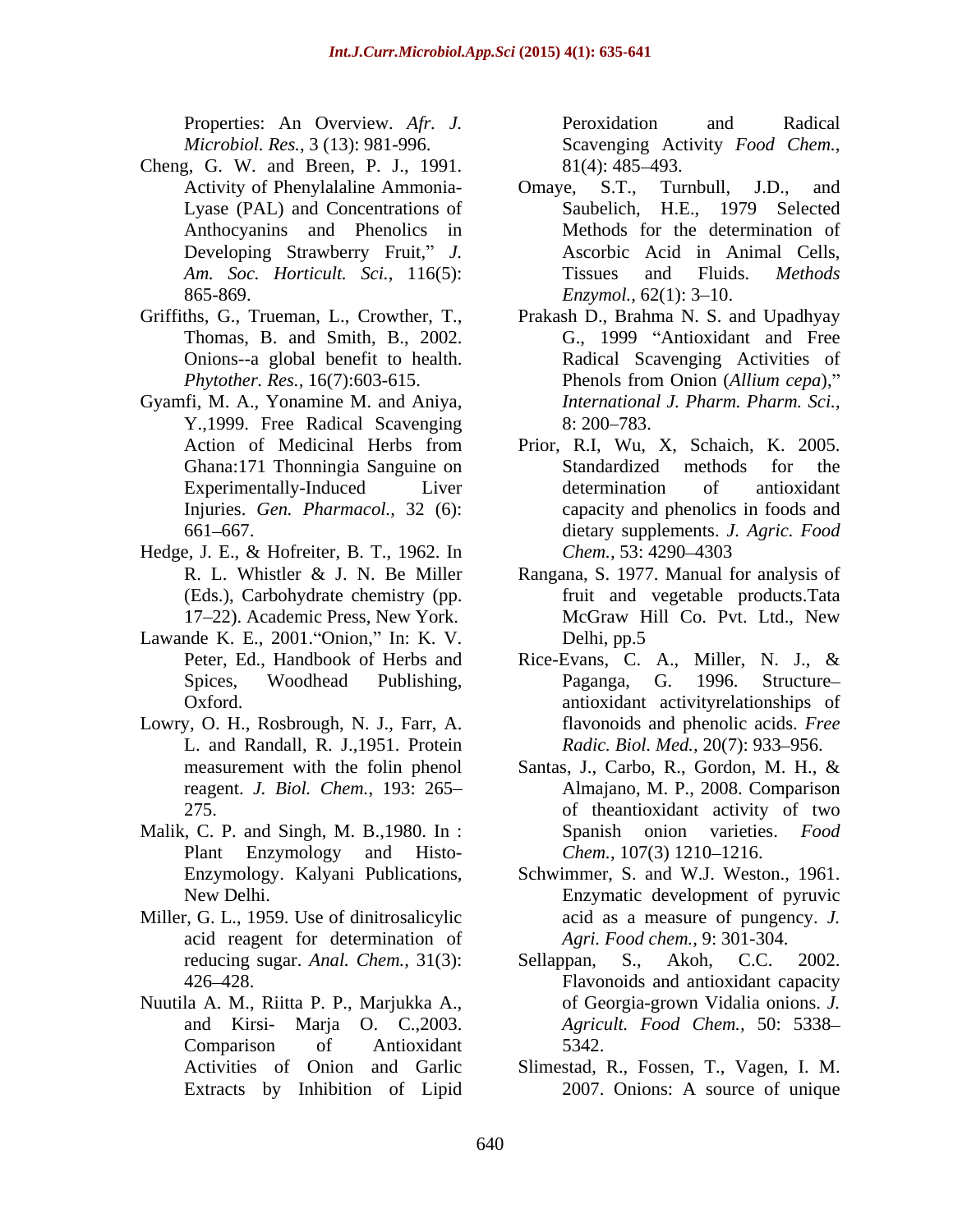- Cheng, G. W. and Breen, P. J., 1991. Developing Strawberry Fruit," J. 865-869. *Enzymol*, 62(1): 3–10.
- 
- Y.,1999. Free Radical Scavenging
- Hedge, J. E., & Hofreiter, B. T., 1962. In Chem., 53: 4290–4303 (Eds.), Carbohydrate chemistry (pp. 17-22). Academic Press, New York.
- Lawande K. E.,  $2001$ . Onion," In: K. V. Delhi, pp.5
- Lowry, O. H., Rosbrough, N. J., Farr, A. L. and Randall, R. J.,1951. Protein
- Malik, C. P. and Singh, M. B.,1980. In :
- Miller, G. L., 1959. Use of dinitrosalicylic acid reagent for determination of
- 

Properties: An Overview. *Afr. J. Microbiol. Res.*, 3 (13): 981-996. Peroxidation and Radical Scavenging Activity *Food Chem.*, 81(4): 485 493.

- Activity of Phenylalaline Ammonia- Omaye, S.T., Turnbull, J.D., and Lyase (PAL) and Concentrations of Saubelich, H.E., 1979 Selected Anthocyanins and Phenolics in Methods for the determination of *Am. Soc. Horticult. Sci.*, 116(5): Omaye, S.T., Turnbull, J.D., and Saubelich, H.E., 1979 Selected Ascorbic Acid in Animal Cells, Tissues and Fluids. *Methods Enzymol.,* 62(1): 3–10.
- Griffiths, G., Trueman, L., Crowther, T., Prakash D., Brahma N. S. and Upadhyay Thomas, B. and Smith, B., 2002. G., 1999 "Antioxidant and Free Onions--a global benefit to health. Radical Scavenging Activities of *Phytother. Res.,* 16(7):603-615. Phenols from Onion (Allium cepa)." Gyamfi, M. A., Yonamine M. and Aniya, *International J. Pharm. Pharm. Sci.*, Phenols from Onion (*Allium cepa*), *International J. Pharm. Pharm. Sci.,*<br>8: 200–783.
	- Action of Medicinal Herbs from Prior, R.I, Wu, X, Schaich, K. 2005. Ghana:171 Thonningia Sanguine on Experimentally-Induced Liver determination of antioxidant Injuries. *Gen. Pharmacol.,* 32 (6): capacity and phenolics in foods and 661 667. dietary supplements. *J. Agric. Food*  Standardized methods for the determination of antioxidant *Chem.,* 53: 4290–4303
	- R. L. Whistler & J. N. Be Miller Rangana, S. 1977. Manual for analysis of fruit and vegetable products.Tata McGraw Hill Co. Pvt. Ltd., New Delhi, pp.5
	- Peter, Ed., Handbook of Herbs and Rice-Evans, C. A., Miller, N. J., & Spices, Woodhead Publishing, Paganga, G. 1996. Structure– Oxford. antioxidant activityrelationships of Paganga, G. 1996. Structure flavonoids and phenolic acids. *Free Radic. Biol. Med., 20(7): 933-956.*
	- measurement with the folin phenol Santas, J., Carbo, R., Gordon, M. H., & reagent. *J. Biol. Chem.*, 193: 265 Almajano, M. P., 2008. Comparison 275. of theantioxidant activity of two Plant Enzymology and Histo- Chem., 107(3) 1210–1216. Spanish onion varieties. *Food Chem.,* 107(3) 1210–1216.
	- Enzymology. Kalyani Publications, Schwimmer, S. and W.J. Weston., 1961. New Delhi. Enzymatic development of pyruvic acid as a measure of pungency. *J. Agri. Food chem.,* 9: 301-304.
- reducing sugar. *Anal. Chem.,* 31(3): 426 428. Flavonoids and antioxidant capacity Nuutila A. M., Riitta P. P., Marjukka A., and Kirsi- Marja O. C.,2003. Comparison of Antioxidant Sellappan, S., Akoh, C.C. 2002. of Georgia-grown Vidalia onions. *J. Agricult. Food Chem.,* 50: 5338 5342.
	- Activities of Onion and Garlic Slimestad, R., Fossen, T., Vagen, I. M. Extracts by Inhibition of Lipid 2007. Onions: A source of unique 2007. Onions: A source of unique